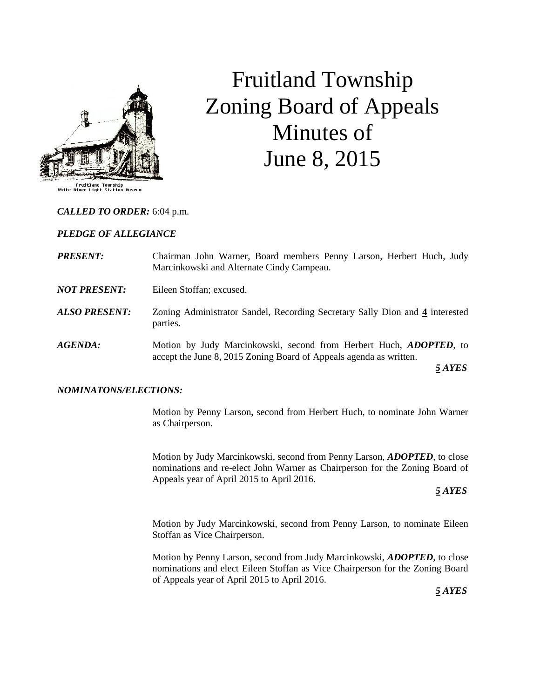

# Fruitland Township Zoning Board of Appeals Minutes of June 8, 2015

### *CALLED TO ORDER:* 6:04 p.m.

#### *PLEDGE OF ALLEGIANCE*

- *PRESENT:* Chairman John Warner, Board members Penny Larson, Herbert Huch, Judy Marcinkowski and Alternate Cindy Campeau.
- *NOT PRESENT:* Eileen Stoffan; excused.
- *ALSO PRESENT:* Zoning Administrator Sandel, Recording Secretary Sally Dion and **4** interested parties.
- *AGENDA:* Motion by Judy Marcinkowski, second from Herbert Huch, *ADOPTED,* to accept the June 8, 2015 Zoning Board of Appeals agenda as written.

 *5 AYES*

#### *NOMINATONS/ELECTIONS:*

Motion by Penny Larson**,** second from Herbert Huch, to nominate John Warner as Chairperson.

Motion by Judy Marcinkowski, second from Penny Larson, *ADOPTED*, to close nominations and re-elect John Warner as Chairperson for the Zoning Board of Appeals year of April 2015 to April 2016.

#### *5 AYES*

Motion by Judy Marcinkowski, second from Penny Larson, to nominate Eileen Stoffan as Vice Chairperson.

Motion by Penny Larson, second from Judy Marcinkowski, *ADOPTED*, to close nominations and elect Eileen Stoffan as Vice Chairperson for the Zoning Board of Appeals year of April 2015 to April 2016.

 *5 AYES*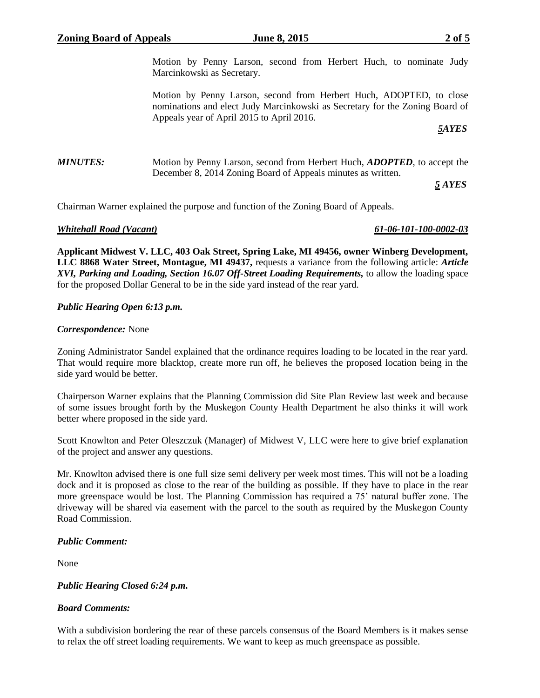Motion by Penny Larson, second from Herbert Huch, ADOPTED, to close nominations and elect Judy Marcinkowski as Secretary for the Zoning Board of Appeals year of April 2015 to April 2016.

 *5AYES*

# *MINUTES:* Motion by Penny Larson, second from Herbert Huch, *ADOPTED,* to accept the December 8, 2014 Zoning Board of Appeals minutes as written.

*5 AYES*

Chairman Warner explained the purpose and function of the Zoning Board of Appeals.

### *Whitehall Road (Vacant) 61-06-101-100-0002-03*

**Applicant Midwest V. LLC, 403 Oak Street, Spring Lake, MI 49456, owner Winberg Development, LLC 8868 Water Street, Montague, MI 49437,** requests a variance from the following article: *Article XVI, Parking and Loading, Section 16.07 Off-Street Loading Requirements,* to allow the loading space for the proposed Dollar General to be in the side yard instead of the rear yard.

# *Public Hearing Open 6:13 p.m.*

### *Correspondence:* None

Zoning Administrator Sandel explained that the ordinance requires loading to be located in the rear yard. That would require more blacktop, create more run off, he believes the proposed location being in the side yard would be better.

Chairperson Warner explains that the Planning Commission did Site Plan Review last week and because of some issues brought forth by the Muskegon County Health Department he also thinks it will work better where proposed in the side yard.

Scott Knowlton and Peter Oleszczuk (Manager) of Midwest V, LLC were here to give brief explanation of the project and answer any questions.

Mr. Knowlton advised there is one full size semi delivery per week most times. This will not be a loading dock and it is proposed as close to the rear of the building as possible. If they have to place in the rear more greenspace would be lost. The Planning Commission has required a 75' natural buffer zone. The driveway will be shared via easement with the parcel to the south as required by the Muskegon County Road Commission.

### *Public Comment:*

None

# *Public Hearing Closed 6:24 p.m.*

# *Board Comments:*

With a subdivision bordering the rear of these parcels consensus of the Board Members is it makes sense to relax the off street loading requirements. We want to keep as much greenspace as possible.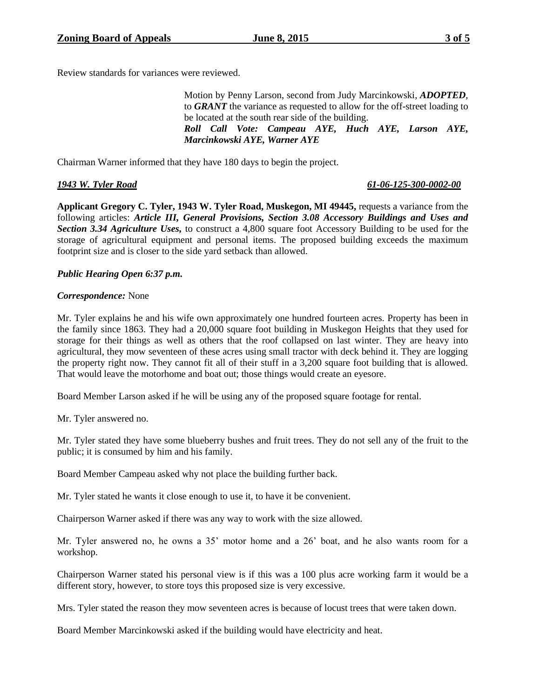Review standards for variances were reviewed.

Motion by Penny Larson, second from Judy Marcinkowski, *ADOPTED*, to *GRANT* the variance as requested to allow for the off-street loading to be located at the south rear side of the building. *Roll Call Vote: Campeau AYE, Huch AYE, Larson AYE, Marcinkowski AYE, Warner AYE*

Chairman Warner informed that they have 180 days to begin the project.

### *1943 W. Tyler Road 61-06-125-300-0002-00*

**Applicant Gregory C. Tyler, 1943 W. Tyler Road, Muskegon, MI 49445,** requests a variance from the following articles: *Article III, General Provisions, Section 3.08 Accessory Buildings and Uses and Section 3.34 Agriculture Uses,* to construct a 4,800 square foot Accessory Building to be used for the storage of agricultural equipment and personal items. The proposed building exceeds the maximum footprint size and is closer to the side yard setback than allowed.

# *Public Hearing Open 6:37 p.m.*

### *Correspondence:* None

Mr. Tyler explains he and his wife own approximately one hundred fourteen acres. Property has been in the family since 1863. They had a 20,000 square foot building in Muskegon Heights that they used for storage for their things as well as others that the roof collapsed on last winter. They are heavy into agricultural, they mow seventeen of these acres using small tractor with deck behind it. They are logging the property right now. They cannot fit all of their stuff in a 3,200 square foot building that is allowed. That would leave the motorhome and boat out; those things would create an eyesore.

Board Member Larson asked if he will be using any of the proposed square footage for rental.

Mr. Tyler answered no.

Mr. Tyler stated they have some blueberry bushes and fruit trees. They do not sell any of the fruit to the public; it is consumed by him and his family.

Board Member Campeau asked why not place the building further back.

Mr. Tyler stated he wants it close enough to use it, to have it be convenient.

Chairperson Warner asked if there was any way to work with the size allowed.

Mr. Tyler answered no, he owns a 35' motor home and a 26' boat, and he also wants room for a workshop.

Chairperson Warner stated his personal view is if this was a 100 plus acre working farm it would be a different story, however, to store toys this proposed size is very excessive.

Mrs. Tyler stated the reason they mow seventeen acres is because of locust trees that were taken down.

Board Member Marcinkowski asked if the building would have electricity and heat.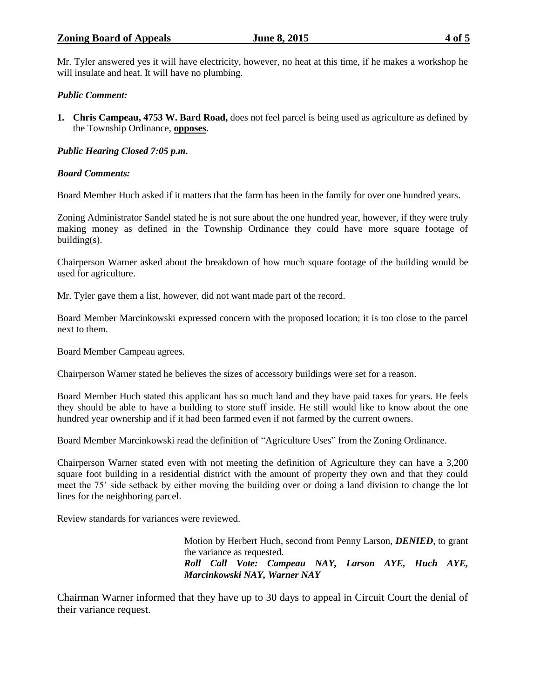## **Zoning Board of Appeals June 8, 2015 4 of 5**

Mr. Tyler answered yes it will have electricity, however, no heat at this time, if he makes a workshop he will insulate and heat. It will have no plumbing.

# *Public Comment:*

**1. Chris Campeau, 4753 W. Bard Road,** does not feel parcel is being used as agriculture as defined by the Township Ordinance, **opposes**.

# *Public Hearing Closed 7:05 p.m.*

# *Board Comments:*

Board Member Huch asked if it matters that the farm has been in the family for over one hundred years.

Zoning Administrator Sandel stated he is not sure about the one hundred year, however, if they were truly making money as defined in the Township Ordinance they could have more square footage of building(s).

Chairperson Warner asked about the breakdown of how much square footage of the building would be used for agriculture.

Mr. Tyler gave them a list, however, did not want made part of the record.

Board Member Marcinkowski expressed concern with the proposed location; it is too close to the parcel next to them.

Board Member Campeau agrees.

Chairperson Warner stated he believes the sizes of accessory buildings were set for a reason.

Board Member Huch stated this applicant has so much land and they have paid taxes for years. He feels they should be able to have a building to store stuff inside. He still would like to know about the one hundred year ownership and if it had been farmed even if not farmed by the current owners.

Board Member Marcinkowski read the definition of "Agriculture Uses" from the Zoning Ordinance.

Chairperson Warner stated even with not meeting the definition of Agriculture they can have a 3,200 square foot building in a residential district with the amount of property they own and that they could meet the 75' side setback by either moving the building over or doing a land division to change the lot lines for the neighboring parcel.

Review standards for variances were reviewed.

Motion by Herbert Huch, second from Penny Larson, *DENIED*, to grant the variance as requested. *Roll Call Vote: Campeau NAY, Larson AYE, Huch AYE, Marcinkowski NAY, Warner NAY*

Chairman Warner informed that they have up to 30 days to appeal in Circuit Court the denial of their variance request.